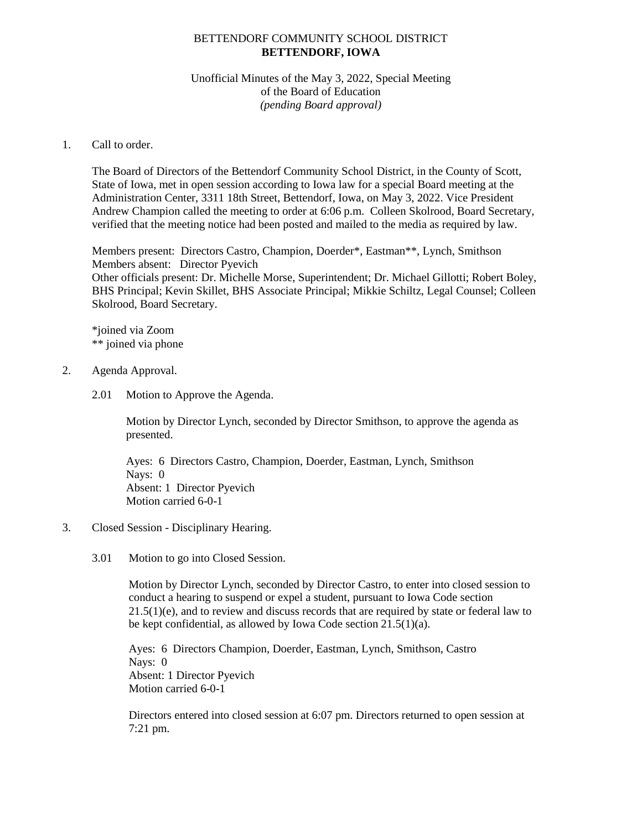# BETTENDORF COMMUNITY SCHOOL DISTRICT **BETTENDORF, IOWA**

# Unofficial Minutes of the May 3, 2022, Special Meeting of the Board of Education *(pending Board approval)*

# 1. Call to order.

The Board of Directors of the Bettendorf Community School District, in the County of Scott, State of Iowa, met in open session according to Iowa law for a special Board meeting at the Administration Center, 3311 18th Street, Bettendorf, Iowa, on May 3, 2022. Vice President Andrew Champion called the meeting to order at 6:06 p.m. Colleen Skolrood, Board Secretary, verified that the meeting notice had been posted and mailed to the media as required by law.

Members present: Directors Castro, Champion, Doerder\*, Eastman\*\*, Lynch, Smithson Members absent: Director Pyevich Other officials present: Dr. Michelle Morse, Superintendent; Dr. Michael Gillotti; Robert Boley, BHS Principal; Kevin Skillet, BHS Associate Principal; Mikkie Schiltz, Legal Counsel; Colleen Skolrood, Board Secretary.

\*joined via Zoom \*\* joined via phone

- 2. Agenda Approval.
	- 2.01 Motion to Approve the Agenda.

Motion by Director Lynch, seconded by Director Smithson, to approve the agenda as presented.

Ayes: 6 Directors Castro, Champion, Doerder, Eastman, Lynch, Smithson Nays: 0 Absent: 1 Director Pyevich Motion carried 6-0-1

- 3. Closed Session Disciplinary Hearing.
	- 3.01 Motion to go into Closed Session.

Motion by Director Lynch, seconded by Director Castro, to enter into closed session to conduct a hearing to suspend or expel a student, pursuant to Iowa Code section  $21.5(1)(e)$ , and to review and discuss records that are required by state or federal law to be kept confidential, as allowed by Iowa Code section 21.5(1)(a).

Ayes: 6 Directors Champion, Doerder, Eastman, Lynch, Smithson, Castro Nays: 0 Absent: 1 Director Pyevich Motion carried 6-0-1

Directors entered into closed session at 6:07 pm. Directors returned to open session at 7:21 pm.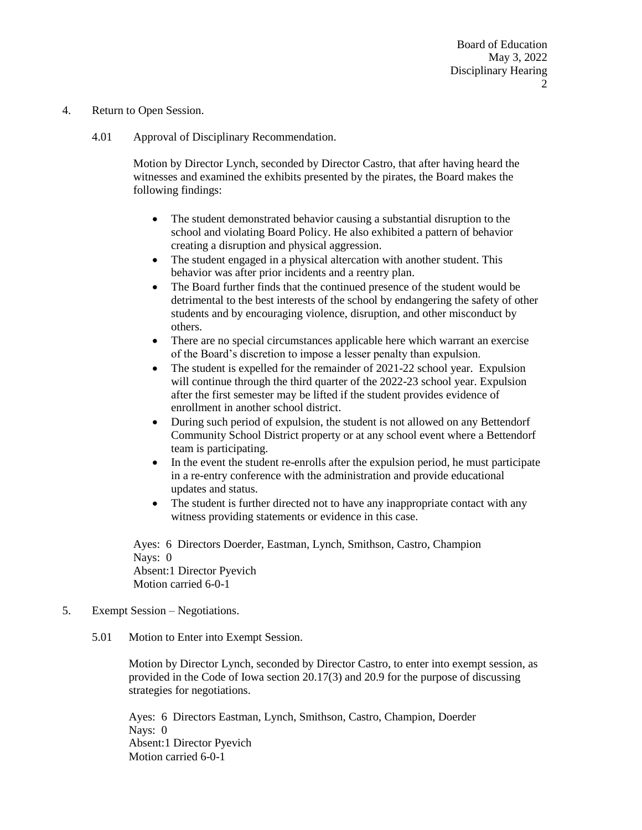- 4. Return to Open Session.
	- 4.01 Approval of Disciplinary Recommendation.

Motion by Director Lynch, seconded by Director Castro, that after having heard the witnesses and examined the exhibits presented by the pirates, the Board makes the following findings:

- The student demonstrated behavior causing a substantial disruption to the school and violating Board Policy. He also exhibited a pattern of behavior creating a disruption and physical aggression.
- The student engaged in a physical altercation with another student. This behavior was after prior incidents and a reentry plan.
- The Board further finds that the continued presence of the student would be detrimental to the best interests of the school by endangering the safety of other students and by encouraging violence, disruption, and other misconduct by others.
- There are no special circumstances applicable here which warrant an exercise of the Board's discretion to impose a lesser penalty than expulsion.
- The student is expelled for the remainder of 2021-22 school year. Expulsion will continue through the third quarter of the 2022-23 school year. Expulsion after the first semester may be lifted if the student provides evidence of enrollment in another school district.
- During such period of expulsion, the student is not allowed on any Bettendorf Community School District property or at any school event where a Bettendorf team is participating.
- In the event the student re-enrolls after the expulsion period, he must participate in a re-entry conference with the administration and provide educational updates and status.
- The student is further directed not to have any inappropriate contact with any witness providing statements or evidence in this case.

Ayes: 6 Directors Doerder, Eastman, Lynch, Smithson, Castro, Champion Nays: 0 Absent:1 Director Pyevich Motion carried 6-0-1

- 5. Exempt Session Negotiations.
	- 5.01 Motion to Enter into Exempt Session.

Motion by Director Lynch, seconded by Director Castro, to enter into exempt session, as provided in the Code of Iowa section 20.17(3) and 20.9 for the purpose of discussing strategies for negotiations.

Ayes: 6 Directors Eastman, Lynch, Smithson, Castro, Champion, Doerder Nays: 0 Absent:1 Director Pyevich Motion carried 6-0-1